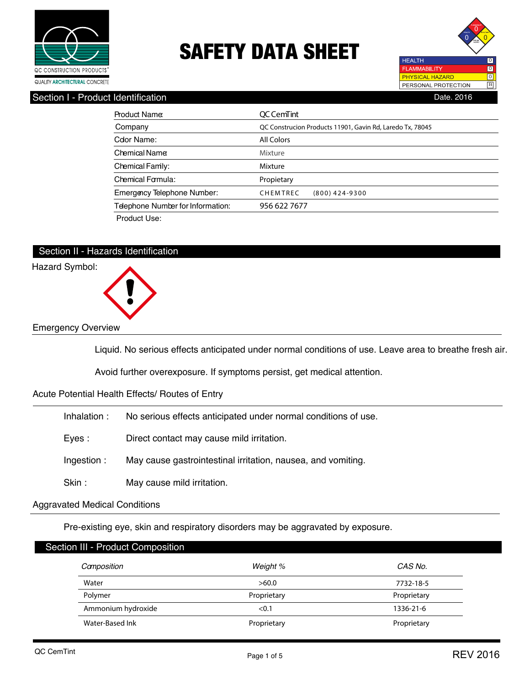



## Section I - Product Identification **Date.** 2016

| Product Name                      | OC CemTint                                                |
|-----------------------------------|-----------------------------------------------------------|
| Company                           | QC Construcion Products 11901, Gavin Rd, Laredo Tx, 78045 |
| Color Name:                       | All Colors                                                |
| Chemical Name                     | Mixture                                                   |
| Chemical Family:                  | Mixture                                                   |
| Chemical Formula:                 | Propietary                                                |
| Emergency Telephone Number:       | CHEMTREC<br>$(800)$ 424-9300                              |
| Telephone Number for Information: | 956 622 7677                                              |
| Product Use:                      |                                                           |

## Section II - Hazards Identification



Liquid. No serious effects anticipated under normal conditions of use. Leave area to breathe fresh air.

Avoid further overexposure. If symptoms persist, get medical attention.

### Acute Potential Health Effects/ Routes of Entry

| No serious effects anticipated under normal conditions of use. | lnhalation : |
|----------------------------------------------------------------|--------------|
|                                                                |              |

Eyes : Direct contact may cause mild irritation.

Ingestion : May cause gastrointestinal irritation, nausea, and vomiting.

Skin : May cause mild irritation.

## Aggravated Medical Conditions

Pre-existing eye, skin and respiratory disorders may be aggravated by exposure.

|       | Section III - Product Composition |             |             |  |
|-------|-----------------------------------|-------------|-------------|--|
|       | Camposition                       | Weight %    | CAS No.     |  |
| Water |                                   | >60.0       | 7732-18-5   |  |
|       | Polymer                           | Proprietary | Proprietary |  |
|       | Ammonium hydroxide                | < 0.1       | 1336-21-6   |  |
|       | Water-Based Ink                   | Proprietary | Proprietary |  |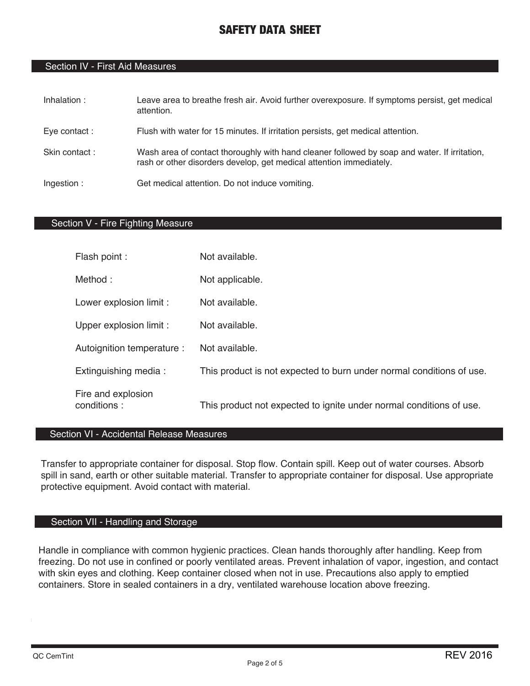## Section IV - First Aid Measures

| Inhalation:   | Leave area to breathe fresh air. Avoid further overexposure. If symptoms persist, get medical<br>attention.                                                         |
|---------------|---------------------------------------------------------------------------------------------------------------------------------------------------------------------|
| Eye contact:  | Flush with water for 15 minutes. If irritation persists, get medical attention.                                                                                     |
| Skin contact: | Wash area of contact thoroughly with hand cleaner followed by soap and water. If irritation,<br>rash or other disorders develop, get medical attention immediately. |
| Ingestion:    | Get medical attention. Do not induce vomiting.                                                                                                                      |

## Section V - Fire Fighting Measure

| Flash point :                     | Not available.                                                       |
|-----------------------------------|----------------------------------------------------------------------|
| Method:                           | Not applicable.                                                      |
| Lower explosion limit :           | Not available.                                                       |
| Upper explosion limit :           | Not available.                                                       |
| Autoignition temperature :        | Not available.                                                       |
| Extinguishing media:              | This product is not expected to burn under normal conditions of use. |
| Fire and explosion<br>conditions: | This product not expected to ignite under normal conditions of use.  |

## Section VI - Accidental Release Measures

Transfer to appropriate container for disposal. Stop flow. Contain spill. Keep out of water courses. Absorb spill in sand, earth or other suitable material. Transfer to appropriate container for disposal. Use appropriate protective equipment. Avoid contact with material.

## Section VII - Handling and Storage

Handle in compliance with common hygienic practices. Clean hands thoroughly after handling. Keep from freezing. Do not use in confined or poorly ventilated areas. Prevent inhalation of vapor, ingestion, and contact with skin eyes and clothing. Keep container closed when not in use. Precautions also apply to emptied containers. Store in sealed containers in a dry, ventilated warehouse location above freezing.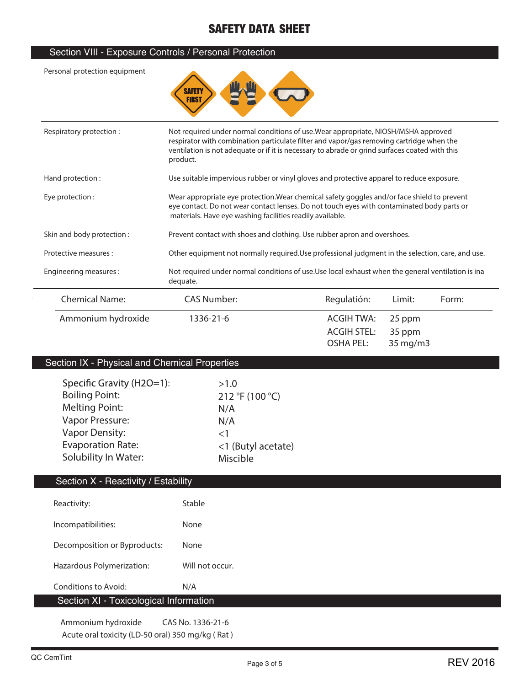## Section VIII - Exposure Controls / Personal Protection

**Personal protection equipment**



| Respiratory protection:   | Not required under normal conditions of use. Wear appropriate, NIOSH/MSHA approved<br>respirator with combination particulate filter and vapor/gas removing cartridge when the<br>ventilation is not adequate or if it is necessary to abrade or grind surfaces coated with this<br>product. |                                               |                              |       |
|---------------------------|----------------------------------------------------------------------------------------------------------------------------------------------------------------------------------------------------------------------------------------------------------------------------------------------|-----------------------------------------------|------------------------------|-------|
| Hand protection:          | Use suitable impervious rubber or vinyl gloves and protective apparel to reduce exposure.                                                                                                                                                                                                    |                                               |                              |       |
| Eye protection :          | Wear appropriate eye protection. Wear chemical safety goggles and/or face shield to prevent<br>eye contact. Do not wear contact lenses. Do not touch eyes with contaminated body parts or<br>materials. Have eye washing facilities readily available.                                       |                                               |                              |       |
| Skin and body protection: | Prevent contact with shoes and clothing. Use rubber apron and overshoes.                                                                                                                                                                                                                     |                                               |                              |       |
| Protective measures :     | Other equipment not normally required. Use professional judgment in the selection, care, and use.                                                                                                                                                                                            |                                               |                              |       |
| Engineering measures:     | Not required under normal conditions of use. Use local exhaust when the general ventilation is ina<br>dequate.                                                                                                                                                                               |                                               |                              |       |
| <b>Chemical Name:</b>     | <b>CAS Number:</b>                                                                                                                                                                                                                                                                           | Regulatión:                                   | Limit:                       | Form: |
| Ammonium hydroxide        | 1336-21-6                                                                                                                                                                                                                                                                                    | ACGIH TWA:<br><b>ACGIH STEL:</b><br>OSHA PEL: | 25 ppm<br>35 ppm<br>35 mg/m3 |       |

## Section IX - Physical and Chemical Properties

| Specific Gravity (H2O=1): | >1.0               |
|---------------------------|--------------------|
| <b>Boiling Point:</b>     | 212 °F (100 °C)    |
| <b>Melting Point:</b>     | N/A                |
| Vapor Pressure:           | N/A                |
| <b>Vapor Density:</b>     | $<$ 1              |
| <b>Evaporation Rate:</b>  | <1 (Butyl acetate) |
| Solubility In Water:      | Miscible           |
|                           |                    |

## Section X - Reactivity / Estability

| Reactivity:                            | Stable            |
|----------------------------------------|-------------------|
| Incompatibilities:                     | None              |
| Decomposition or Byproducts:           | None              |
| Hazardous Polymerization:              | Will not occur.   |
| Conditions to Avoid:                   | N/A               |
| Section XI - Toxicological Information |                   |
| Ammonium hydroxide                     | CAS No. 1336-21-6 |

**Acute oral toxicity (LD-50 oral) 350 mg/kg ( Rat )**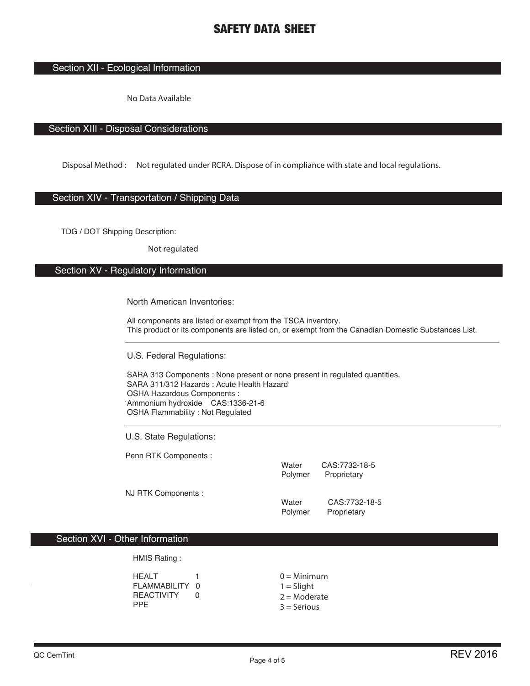## Section XII - Ecological Information

**No Data Available**

## Section XIII - Disposal Considerations

**Disposal Method : Not regulated under RCRA. Dispose of in compliance with state and local regulations.**

### Section XIV - Transportation / Shipping Data

TDG / DOT Shipping Description:

**Not regulated**

## Section XV - Regulatory Information

#### North American Inventories:

All components are listed or exempt from the TSCA inventory. This product or its components are listed on, or exempt from the Canadian Domestic Substances List.

U.S. Federal Regulations:

SARA 313 Components : None present or none present in regulated quantities. SARA 311/312 Hazards : Acute Health Hazard OSHA Hazardous Components : Ammonium hydroxide CAS:1336-21-6 OSHA Flammability : Not Regulated

U.S. State Regulations:

Penn RTK Components :

|                     | Water<br>Polymer | CAS:7732-18-5<br>Proprietary |
|---------------------|------------------|------------------------------|
| NJ RTK Components : | Water            | CAS:7732-18-5                |
|                     | Polymer          | Proprietary                  |

## Section XVI - Other Information

HMIS Rating :

| HEALT        |     | $0 =$ Minimum  |
|--------------|-----|----------------|
| FLAMMABILITY | - റ | $1 =$ Slight   |
| REACTIVITY   |     | $2 =$ Moderate |
| PPF.         |     | $3 =$ Serious  |